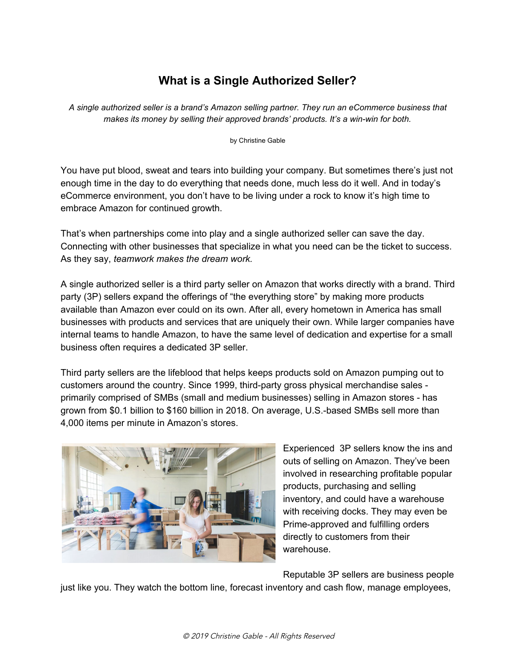# **What is a Single Authorized Seller?**

*A single authorized seller is a brand's Amazon selling partner. They run an eCommerce business that makes its money by selling their approved brands' products. It's a win-win for both.*

by Christine Gable

You have put blood, sweat and tears into building your company. But sometimes there's just not enough time in the day to do everything that needs done, much less do it well. And in today's eCommerce environment, you don't have to be living under a rock to know it's high time to embrace Amazon for continued growth.

That's when partnerships come into play and a single authorized seller can save the day. Connecting with other businesses that specialize in what you need can be the ticket to success. As they say, *teamwork makes the dream work.*

A single authorized seller is a third party seller on Amazon that works directly with a brand. Third party (3P) sellers expand the offerings of "the everything store" by making more products available than Amazon ever could on its own. After all, every hometown in America has small businesses with products and services that are uniquely their own. While larger companies have internal teams to handle Amazon, to have the same level of dedication and expertise for a small business often requires a dedicated 3P seller.

Third party sellers are the lifeblood that helps keeps products sold on Amazon pumping out to customers around the country. Since 1999, third-party gross physical merchandise sales primarily comprised of SMBs (small and medium businesses) selling in Amazon stores - has grown from \$0.1 billion to \$160 billion in 2018. On average, U.S.-based SMBs sell more than 4,000 items per minute in Amazon's stores.



Experienced 3P sellers know the ins and outs of selling on Amazon. They've been involved in researching profitable popular products, purchasing and selling inventory, and could have a warehouse with receiving docks. They may even be Prime-approved and fulfilling orders directly to customers from their warehouse.

Reputable 3P sellers are business people just like you. They watch the bottom line, forecast inventory and cash flow, manage employees,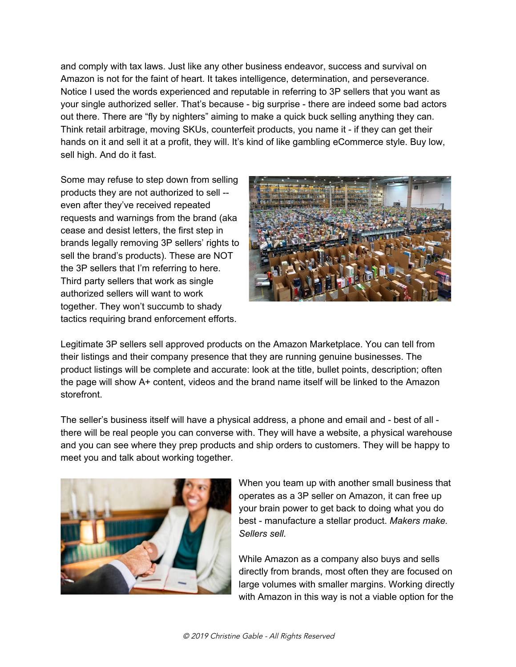and comply with tax laws. Just like any other business endeavor, success and survival on Amazon is not for the faint of heart. It takes intelligence, determination, and perseverance. Notice I used the words experienced and reputable in referring to 3P sellers that you want as your single authorized seller. That's because - big surprise - there are indeed some bad actors out there. There are "fly by nighters" aiming to make a quick buck selling anything they can. Think retail arbitrage, moving SKUs, counterfeit products, you name it - if they can get their hands on it and sell it at a profit, they will. It's kind of like gambling eCommerce style. Buy low, sell high. And do it fast.

Some may refuse to step down from selling products they are not authorized to sell - even after they've received repeated requests and warnings from the brand (aka cease and desist letters, the first step in brands legally removing 3P sellers' rights to sell the brand's products). These are NOT the 3P sellers that I'm referring to here. Third party sellers that work as single authorized sellers will want to work together. They won't succumb to shady tactics requiring brand enforcement efforts.



Legitimate 3P sellers sell approved products on the Amazon Marketplace. You can tell from their listings and their company presence that they are running genuine businesses. The product listings will be complete and accurate: look at the title, bullet points, description; often the page will show A+ content, videos and the brand name itself will be linked to the Amazon storefront.

The seller's business itself will have a physical address, a phone and email and - best of all there will be real people you can converse with. They will have a website, a physical warehouse and you can see where they prep products and ship orders to customers. They will be happy to meet you and talk about working together.



When you team up with another small business that operates as a 3P seller on Amazon, it can free up your brain power to get back to doing what you do best - manufacture a stellar product. *Makers make. Sellers sell.*

While Amazon as a company also buys and sells directly from brands, most often they are focused on large volumes with smaller margins. Working directly with Amazon in this way is not a viable option for the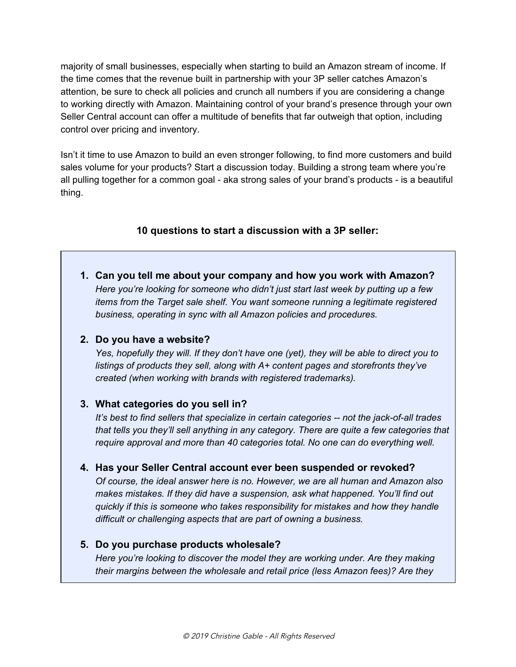majority of small businesses, especially when starting to build an Amazon stream of income. If the time comes that the revenue built in partnership with your 3P seller catches Amazon's attention, be sure to check all policies and crunch all numbers if you are considering a change to working directly with Amazon. Maintaining control of your brand's presence through your own Seller Central account can offer a multitude of benefits that far outweigh that option, including control over pricing and inventory.

Isn't it time to use Amazon to build an even stronger following, to find more customers and build sales volume for your products? Start a discussion today. Building a strong team where you're all pulling together for a common goal - aka strong sales of your brand's products - is a beautiful thing.

## **10 questions to start a discussion with a 3P seller:**

**1. Can you tell me about your company and how you work with Amazon?** *Here you're looking for someone who didn't just start last week by putting up a few items from the Target sale shelf. You want someone running a legitimate registered business, operating in sync with all Amazon policies and procedures.*

#### **2. Do you have a website?**

*Yes, hopefully they will. If they don't have one (yet), they will be able to direct you to listings of products they sell, along with A+ content pages and storefronts they've created (when working with brands with registered trademarks).*

#### **3. What categories do you sell in?**

*It's best to find sellers that specialize in certain categories -- not the jack-of-all trades that tells you they'll sell anything in any category. There are quite a few categories that require approval and more than 40 categories total. No one can do everything well.*

## **4. Has your Seller Central account ever been suspended or revoked?**

*Of course, the ideal answer here is no. However, we are all human and Amazon also makes mistakes. If they did have a suspension, ask what happened. You'll find out quickly if this is someone who takes responsibility for mistakes and how they handle difficult or challenging aspects that are part of owning a business.*

#### **5. Do you purchase products wholesale?**

*Here you're looking to discover the model they are working under. Are they making their margins between the wholesale and retail price (less Amazon fees)? Are they*